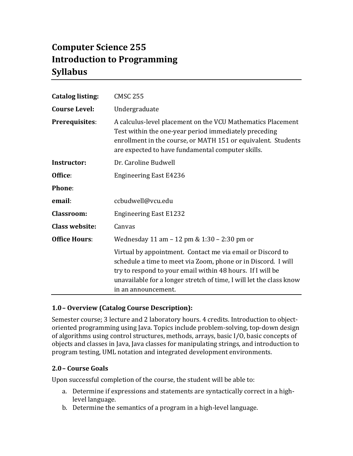# **Computer Science 255 Introduction to Programming Syllabus**

| <b>Catalog listing:</b> | <b>CMSC 255</b>                                                                                                                                                                                                                                                                         |  |
|-------------------------|-----------------------------------------------------------------------------------------------------------------------------------------------------------------------------------------------------------------------------------------------------------------------------------------|--|
| <b>Course Level:</b>    | Undergraduate                                                                                                                                                                                                                                                                           |  |
| Prerequisites:          | A calculus-level placement on the VCU Mathematics Placement<br>Test within the one-year period immediately preceding<br>enrollment in the course, or MATH 151 or equivalent. Students<br>are expected to have fundamental computer skills.                                              |  |
| Instructor:             | Dr. Caroline Budwell                                                                                                                                                                                                                                                                    |  |
| Office:                 | <b>Engineering East E4236</b>                                                                                                                                                                                                                                                           |  |
| <b>Phone:</b>           |                                                                                                                                                                                                                                                                                         |  |
| email:                  | ccbudwell@vcu.edu                                                                                                                                                                                                                                                                       |  |
| <b>Classroom:</b>       | <b>Engineering East E1232</b>                                                                                                                                                                                                                                                           |  |
| <b>Class website:</b>   | Canvas                                                                                                                                                                                                                                                                                  |  |
| <b>Office Hours:</b>    | Wednesday 11 am - 12 pm & 1:30 - 2:30 pm or                                                                                                                                                                                                                                             |  |
|                         | Virtual by appointment. Contact me via email or Discord to<br>schedule a time to meet via Zoom, phone or in Discord. I will<br>try to respond to your email within 48 hours. If I will be<br>unavailable for a longer stretch of time, I will let the class know<br>in an announcement. |  |

# **1.0– Overview (Catalog Course Description):**

Semester course; 3 lecture and 2 laboratory hours. 4 credits. Introduction to objectoriented programming using Java. Topics include problem-solving, top-down design of algorithms using control structures, methods, arrays, basic I/O, basic concepts of objects and classes in Java, Java classes for manipulating strings, and introduction to program testing, UML notation and integrated development environments.

#### **2.0– Course Goals**

Upon successful completion of the course, the student will be able to:

- a. Determine if expressions and statements are syntactically correct in a highlevel language.
- b. Determine the semantics of a program in a high-level language.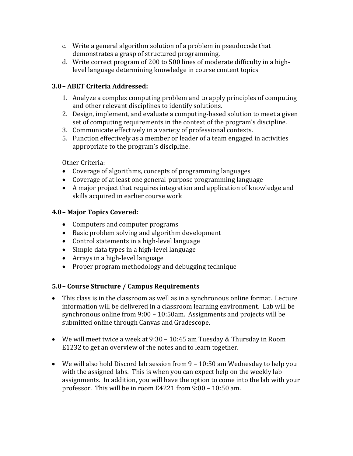- c. Write a general algorithm solution of a problem in pseudocode that demonstrates a grasp of structured programming.
- d. Write correct program of 200 to 500 lines of moderate difficulty in a highlevel language determining knowledge in course content topics

# **3.0– ABET Criteria Addressed:**

- 1. Analyze a complex computing problem and to apply principles of computing and other relevant disciplines to identify solutions.
- 2. Design, implement, and evaluate a computing-based solution to meet a given set of computing requirements in the context of the program's discipline.
- 3. Communicate effectively in a variety of professional contexts.
- 5. Function effectively as a member or leader of a team engaged in activities appropriate to the program's discipline.

Other Criteria:

- Coverage of algorithms, concepts of programming languages
- Coverage of at least one general-purpose programming language
- A major project that requires integration and application of knowledge and skills acquired in earlier course work

## **4.0– Major Topics Covered:**

- Computers and computer programs
- $\bullet$  Basic problem solving and algorithm development
- Control statements in a high-level language
- Simple data types in a high-level language
- $\bullet$  Arrays in a high-level language
- Proper program methodology and debugging technique

# **5.0– Course Structure / Campus Requirements**

- This class is in the classroom as well as in a synchronous online format. Lecture information will be delivered in a classroom learning environment. Lab will be synchronous online from  $9:00 - 10:50$ am. Assignments and projects will be submitted online through Canvas and Gradescope.
- We will meet twice a week at  $9:30 10:45$  am Tuesday & Thursday in Room E1232 to get an overview of the notes and to learn together.
- We will also hold Discord lab session from 9 10:50 am Wednesday to help you with the assigned labs. This is when you can expect help on the weekly lab assignments. In addition, you will have the option to come into the lab with your professor. This will be in room E4221 from  $9:00 - 10:50$  am.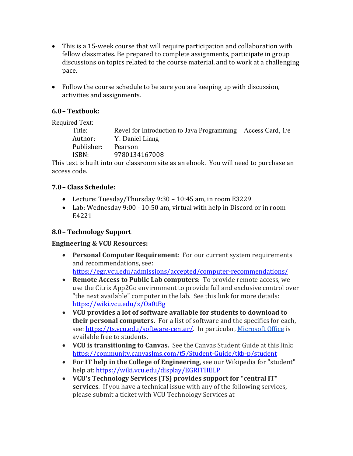- This is a 15-week course that will require participation and collaboration with fellow classmates. Be prepared to complete assignments, participate in group discussions on topics related to the course material, and to work at a challenging pace.
- Follow the course schedule to be sure you are keeping up with discussion, activities and assignments.

# **6.0– Textbook:**

Required Text:

| Title:     | Revel for Introduction to Java Programming – Access Card, $1/e$ |
|------------|-----------------------------------------------------------------|
|            | Author: Y. Daniel Liang                                         |
| Publisher: | Pearson                                                         |
| ISBN:      | 9780134167008                                                   |
|            |                                                                 |

This text is built into our classroom site as an ebook. You will need to purchase an access code.

# **7.0– Class Schedule:**

- Lecture: Tuesday/Thursday  $9:30 10:45$  am, in room E3229
- Lab: Wednesday 9:00 10:50 am, virtual with help in Discord or in room E4221

# **8.0– Technology Support**

#### **Engineering & VCU Resources:**

• **Personal Computer Requirement**: For our current system requirements and recommendations, see:

https://egr.vcu.edu/admissions/accepted/computer-recommendations/

- **Remote Access to Public Lab computers**: To provide remote access, we use the Citrix App2Go environment to provide full and exclusive control over "the next available" computer in the lab. See this link for more details: https://wiki.vcu.edu/x/Oa0tBg
- **VCU** provides a lot of software available for students to download to **their personal computers.** For a list of software and the specifics for each, see: https://ts.vcu.edu/software-center/. In particular, Microsoft Office is available free to students.
- **VCU** is transitioning to Canvas. See the Canvas Student Guide at this link: https://community.canvaslms.com/t5/Student-Guide/tkb-p/student
- For IT help in the College of Engineering, see our Wikipedia for "student" help at: https://wiki.vcu.edu/display/EGRITHELP
- VCU's Technology Services (TS) provides support for "central IT" **services**. If you have a technical issue with any of the following services, please submit a ticket with VCU Technology Services at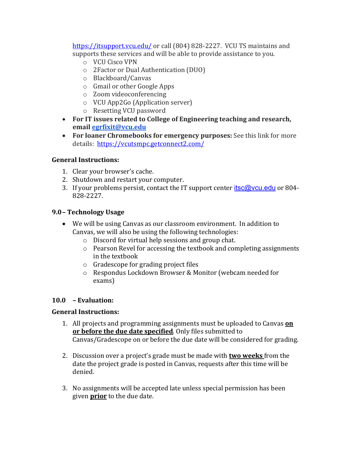https://itsupport.vcu.edu/ or call (804) 828-2227. VCU TS maintains and supports these services and will be able to provide assistance to you.

- o VCU Cisco VPN
- o 2Factor or Dual Authentication (DUO)
- o Blackboard/Canvas
- $\circ$  Gmail or other Google Apps
- o Zoom videoconferencing
- $\circ$  VCU App2Go (Application server)
- o Resetting VCU password
- For IT issues related to College of Engineering teaching and research, **email egrfixit@vcu.edu**
- For loaner Chromebooks for emergency purposes: See this link for more details: https://vcutsmpc.getconnect2.com/

#### **General Instructions:**

- 1. Clear your browser's cache.
- 2. Shutdown and restart your computer.
- 3. If your problems persist, contact the IT support center  $itsc@$  ycu.edu or 804-828-2227.

## **9.0– Technology Usage**

- We will be using Canvas as our classroom environment. In addition to Canvas, we will also be using the following technologies:
	- $\circ$  Discord for virtual help sessions and group chat.
	- $\circ$  Pearson Revel for accessing the textbook and completing assignments in the textbook
	- $\circ$  Gradescope for grading project files
	- o Respondus Lockdown Browser & Monitor (webcam needed for exams)

#### **10.0 – Evaluation:**

#### **General Instructions:**

- 1. All projects and programming assignments must be uploaded to Canvas **on** or before the due date specified. Only files submitted to Canvas/Gradescope on or before the due date will be considered for grading.
- 2. Discussion over a project's grade must be made with **two weeks** from the date the project grade is posted in Canvas, requests after this time will be denied.
- 3. No assignments will be accepted late unless special permission has been given **prior** to the due date.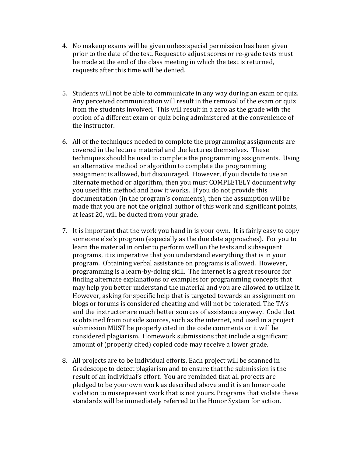- 4. No makeup exams will be given unless special permission has been given prior to the date of the test. Request to adjust scores or re-grade tests must be made at the end of the class meeting in which the test is returned, requests after this time will be denied.
- 5. Students will not be able to communicate in any way during an exam or quiz. Any perceived communication will result in the removal of the exam or quiz from the students involved. This will result in a zero as the grade with the option of a different exam or quiz being administered at the convenience of the instructor.
- 6. All of the techniques needed to complete the programming assignments are covered in the lecture material and the lectures themselves. These techniques should be used to complete the programming assignments. Using an alternative method or algorithm to complete the programming assignment is allowed, but discouraged. However, if you decide to use an alternate method or algorithm, then you must COMPLETELY document why you used this method and how it works. If you do not provide this documentation (in the program's comments), then the assumption will be made that you are not the original author of this work and significant points, at least 20, will be ducted from your grade.
- 7. It is important that the work you hand in is your own. It is fairly easy to copy someone else's program (especially as the due date approaches). For you to learn the material in order to perform well on the tests and subsequent programs, it is imperative that you understand everything that is in your program. Obtaining verbal assistance on programs is allowed. However, programming is a learn-by-doing skill. The internet is a great resource for finding alternate explanations or examples for programming concepts that may help you better understand the material and you are allowed to utilize it. However, asking for specific help that is targeted towards an assignment on blogs or forums is considered cheating and will not be tolerated. The TA's and the instructor are much better sources of assistance anyway. Code that is obtained from outside sources, such as the internet, and used in a project submission MUST be properly cited in the code comments or it will be considered plagiarism. Homework submissions that include a significant amount of (properly cited) copied code may receive a lower grade.
- 8. All projects are to be individual efforts. Each project will be scanned in Gradescope to detect plagiarism and to ensure that the submission is the result of an individual's effort. You are reminded that all projects are pledged to be your own work as described above and it is an honor code violation to misrepresent work that is not yours. Programs that violate these standards will be immediately referred to the Honor System for action.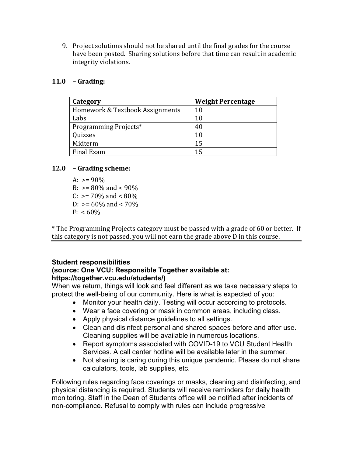9. Project solutions should not be shared until the final grades for the course have been posted. Sharing solutions before that time can result in academic integrity violations.

#### **11.0 – Grading:**

| Category                        | <b>Weight Percentage</b> |
|---------------------------------|--------------------------|
| Homework & Textbook Assignments | 10                       |
| Labs                            | 10                       |
| Programming Projects*           | 40                       |
| Quizzes                         | 10                       |
| Midterm                         | 15                       |
| Final Exam                      | 15                       |

#### **12.0 – Grading scheme:**

A:  $> = 90\%$ B:  $> = 80\%$  and  $< 90\%$ C:  $> = 70\%$  and  $< 80\%$ D:  $> = 60\%$  and  $< 70\%$  $F: < 60\%$ 

\* The Programming Projects category must be passed with a grade of 60 or better. If this category is not passed, you will not earn the grade above  $D$  in this course.

# **Student responsibilities**

## **(source: One VCU: Responsible Together available at: https://together.vcu.edu/students/)**

When we return, things will look and feel different as we take necessary steps to protect the well-being of our community. Here is what is expected of you:

- Monitor your health daily. Testing will occur according to protocols.
- Wear a face covering or mask in common areas, including class.
- Apply physical distance guidelines to all settings.
- Clean and disinfect personal and shared spaces before and after use. Cleaning supplies will be available in numerous locations.
- Report symptoms associated with COVID-19 to VCU Student Health Services. A call center hotline will be available later in the summer.
- Not sharing is caring during this unique pandemic. Please do not share calculators, tools, lab supplies, etc.

Following rules regarding face coverings or masks, cleaning and disinfecting, and physical distancing is required. Students will receive reminders for daily health monitoring. Staff in the Dean of Students office will be notified after incidents of non-compliance. Refusal to comply with rules can include progressive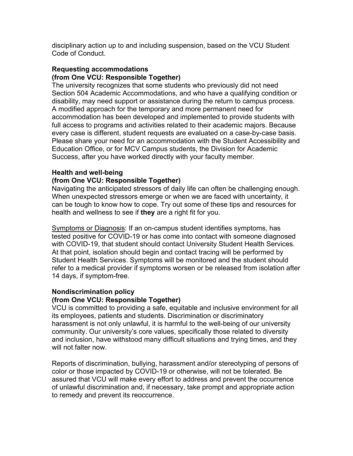disciplinary action up to and including suspension, based on the VCU Student Code of Conduct.

#### **Requesting accommodations (from One VCU: Responsible Together)**

The university recognizes that some students who previously did not need Section 504 Academic Accommodations, and who have a qualifying condition or disability, may need support or assistance during the return to campus process. A modified approach for the temporary and more permanent need for accommodation has been developed and implemented to provide students with full access to programs and activities related to their academic majors. Because every case is different, student requests are evaluated on a case-by-case basis. Please share your need for an accommodation with the Student Accessibility and Education Office, or for MCV Campus students, the Division for Academic Success, after you have worked directly with your faculty member.

#### **Health and well-being**

#### **(from One VCU: Responsible Together)**

Navigating the anticipated stressors of daily life can often be challenging enough. When unexpected stressors emerge or when we are faced with uncertainty, it can be tough to know how to cope. Try out some of these tips and resources for health and wellness to see if **they** are a right fit for you.

Symptoms or Diagnosis: If an on-campus student identifies symptoms, has tested positive for COVID-19 or has come into contact with someone diagnosed with COVID-19, that student should contact University Student Health Services. At that point, isolation should begin and contact tracing will be performed by Student Health Services. Symptoms will be monitored and the student should refer to a medical provider if symptoms worsen or be released from isolation after 14 days, if symptom-free.

#### **Nondiscrimination policy**

#### **(from One VCU: Responsible Together)**

VCU is committed to providing a safe, equitable and inclusive environment for all its employees, patients and students. Discrimination or discriminatory harassment is not only unlawful, it is harmful to the well-being of our university community. Our university's core values, specifically those related to diversity and inclusion, have withstood many difficult situations and trying times, and they will not falter now.

Reports of discrimination, bullying, harassment and/or stereotyping of persons of color or those impacted by COVID-19 or otherwise, will not be tolerated. Be assured that VCU will make every effort to address and prevent the occurrence of unlawful discrimination and, if necessary, take prompt and appropriate action to remedy and prevent its reoccurrence.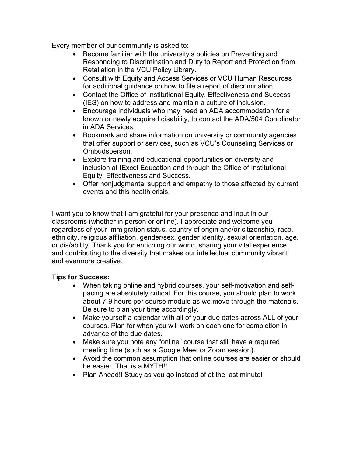Every member of our community is asked to:

- Become familiar with the university's policies on Preventing and Responding to Discrimination and Duty to Report and Protection from Retaliation in the VCU Policy Library.
- Consult with Equity and Access Services or VCU Human Resources for additional guidance on how to file a report of discrimination.
- Contact the Office of Institutional Equity, Effectiveness and Success (IES) on how to address and maintain a culture of inclusion.
- Encourage individuals who may need an ADA accommodation for a known or newly acquired disability, to contact the ADA/504 Coordinator in ADA Services.
- Bookmark and share information on university or community agencies that offer support or services, such as VCU's Counseling Services or Ombudsperson.
- Explore training and educational opportunities on diversity and inclusion at IExcel Education and through the Office of Institutional Equity, Effectiveness and Success.
- Offer nonjudgmental support and empathy to those affected by current events and this health crisis.

I want you to know that I am grateful for your presence and input in our classrooms (whether in person or online). I appreciate and welcome you regardless of your immigration status, country of origin and/or citizenship, race, ethnicity, religious affiliation, gender/sex, gender identity, sexual orientation, age, or dis/ability. Thank you for enriching our world, sharing your vital experience, and contributing to the diversity that makes our intellectual community vibrant and evermore creative.

# **Tips for Success:**

- When taking online and hybrid courses, your self-motivation and selfpacing are absolutely critical. For this course, you should plan to work about 7-9 hours per course module as we move through the materials. Be sure to plan your time accordingly.
- Make yourself a calendar with all of your due dates across ALL of your courses. Plan for when you will work on each one for completion in advance of the due dates.
- Make sure you note any "online" course that still have a required meeting time (such as a Google Meet or Zoom session).
- Avoid the common assumption that online courses are easier or should be easier. That is a MYTH!!
- Plan Ahead!! Study as you go instead of at the last minute!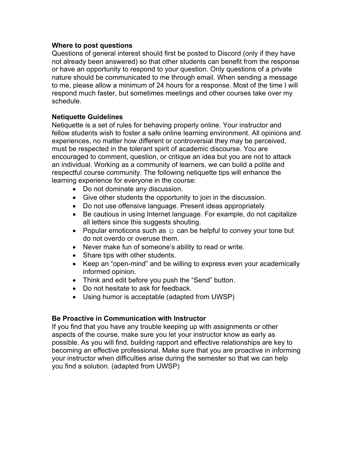#### **Where to post questions**

Questions of general interest should first be posted to Discord (only if they have not already been answered) so that other students can benefit from the response or have an opportunity to respond to your question. Only questions of a private nature should be communicated to me through email. When sending a message to me, please allow a minimum of 24 hours for a response. Most of the time I will respond much faster, but sometimes meetings and other courses take over my schedule.

#### **Netiquette Guidelines**

Netiquette is a set of rules for behaving properly online. Your instructor and fellow students wish to foster a safe online learning environment. All opinions and experiences, no matter how different or controversial they may be perceived, must be respected in the tolerant spirit of academic discourse. You are encouraged to comment, question, or critique an idea but you are not to attack an individual. Working as a community of learners, we can build a polite and respectful course community. The following netiquette tips will enhance the learning experience for everyone in the course:

- Do not dominate any discussion.
- Give other students the opportunity to join in the discussion.
- Do not use offensive language. Present ideas appropriately.
- Be cautious in using Internet language. For example, do not capitalize all letters since this suggests shouting.
- Popular emoticons such as  $\odot$  can be helpful to convey your tone but do not overdo or overuse them.
- Never make fun of someone's ability to read or write.
- Share tips with other students.
- Keep an "open-mind" and be willing to express even your academically informed opinion.
- Think and edit before you push the "Send" button.
- Do not hesitate to ask for feedback.
- Using humor is acceptable (adapted from UWSP)

#### **Be Proactive in Communication with Instructor**

If you find that you have any trouble keeping up with assignments or other aspects of the course, make sure you let your instructor know as early as possible. As you will find, building rapport and effective relationships are key to becoming an effective professional. Make sure that you are proactive in informing your instructor when difficulties arise during the semester so that we can help you find a solution. (adapted from UWSP)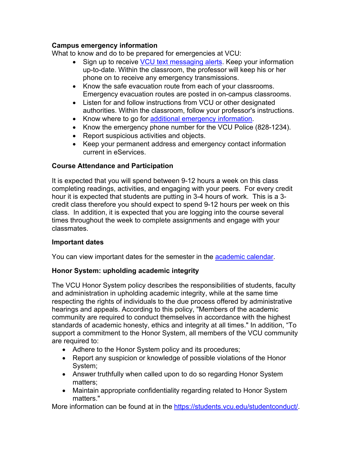## **Campus emergency information**

What to know and do to be prepared for emergencies at VCU:

- Sign up to receive VCU text messaging alerts. Keep your information up-to-date. Within the classroom, the professor will keep his or her phone on to receive any emergency transmissions.
- Know the safe evacuation route from each of your classrooms. Emergency evacuation routes are posted in on-campus classrooms.
- Listen for and follow instructions from VCU or other designated authorities. Within the classroom, follow your professor's instructions.
- Know where to go for additional emergency information.
- Know the emergency phone number for the VCU Police (828-1234).
- Report suspicious activities and objects.
- Keep your permanent address and emergency contact information current in eServices.

# **Course Attendance and Participation**

It is expected that you will spend between 9-12 hours a week on this class completing readings, activities, and engaging with your peers. For every credit hour it is expected that students are putting in 3-4 hours of work. This is a 3 credit class therefore you should expect to spend 9-12 hours per week on this class. In addition, it is expected that you are logging into the course several times throughout the week to complete assignments and engage with your classmates.

# **Important dates**

You can view important dates for the semester in the academic calendar.

# **Honor System: upholding academic integrity**

The VCU Honor System policy describes the responsibilities of students, faculty and administration in upholding academic integrity, while at the same time respecting the rights of individuals to the due process offered by administrative hearings and appeals. According to this policy, "Members of the academic community are required to conduct themselves in accordance with the highest standards of academic honesty, ethics and integrity at all times." In addition, "To support a commitment to the Honor System, all members of the VCU community are required to:

- Adhere to the Honor System policy and its procedures;
- Report any suspicion or knowledge of possible violations of the Honor System;
- Answer truthfully when called upon to do so regarding Honor System matters;
- Maintain appropriate confidentiality regarding related to Honor System matters."

More information can be found at in the https://students.vcu.edu/studentconduct/.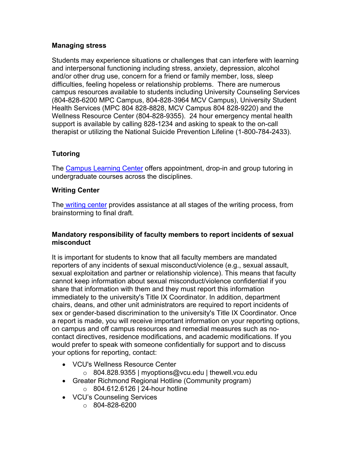## **Managing stress**

Students may experience situations or challenges that can interfere with learning and interpersonal functioning including stress, anxiety, depression, alcohol and/or other drug use, concern for a friend or family member, loss, sleep difficulties, feeling hopeless or relationship problems. There are numerous campus resources available to students including University Counseling Services (804-828-6200 MPC Campus, 804-828-3964 MCV Campus), University Student Health Services (MPC 804 828-8828, MCV Campus 804 828-9220) and the Wellness Resource Center (804-828-9355). 24 hour emergency mental health support is available by calling 828-1234 and asking to speak to the on-call therapist or utilizing the National Suicide Prevention Lifeline (1-800-784-2433).

# **Tutoring**

The Campus Learning Center offers appointment, drop-in and group tutoring in undergraduate courses across the disciplines.

## **Writing Center**

The writing center provides assistance at all stages of the writing process, from brainstorming to final draft.

## **Mandatory responsibility of faculty members to report incidents of sexual misconduct**

It is important for students to know that all faculty members are mandated reporters of any incidents of sexual misconduct/violence (e.g., sexual assault, sexual exploitation and partner or relationship violence). This means that faculty cannot keep information about sexual misconduct/violence confidential if you share that information with them and they must report this information immediately to the university's Title IX Coordinator. In addition, department chairs, deans, and other unit administrators are required to report incidents of sex or gender-based discrimination to the university's Title IX Coordinator. Once a report is made, you will receive important information on your reporting options, on campus and off campus resources and remedial measures such as nocontact directives, residence modifications, and academic modifications. If you would prefer to speak with someone confidentially for support and to discuss your options for reporting, contact:

- VCU's Wellness Resource Center
	- o 804.828.9355 | myoptions@vcu.edu | thewell.vcu.edu
- Greater Richmond Regional Hotline (Community program) o 804.612.6126 | 24-hour hotline
- VCU's Counseling Services
	- o 804-828-6200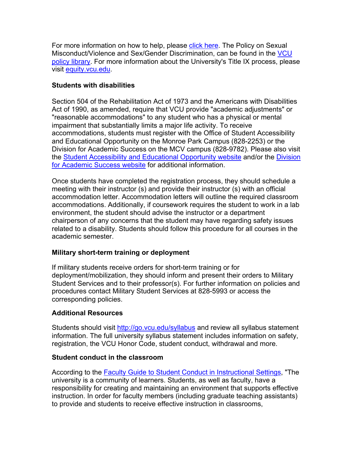For more information on how to help, please click here. The Policy on Sexual Misconduct/Violence and Sex/Gender Discrimination, can be found in the VCU policy library. For more information about the University's Title IX process, please visit equity.vcu.edu.

## **Students with disabilities**

Section 504 of the Rehabilitation Act of 1973 and the Americans with Disabilities Act of 1990, as amended, require that VCU provide "academic adjustments" or "reasonable accommodations" to any student who has a physical or mental impairment that substantially limits a major life activity. To receive accommodations, students must register with the Office of Student Accessibility and Educational Opportunity on the Monroe Park Campus (828-2253) or the Division for Academic Success on the MCV campus (828-9782). Please also visit the Student Accessibility and Educational Opportunity website and/or the Division for Academic Success website for additional information.

Once students have completed the registration process, they should schedule a meeting with their instructor (s) and provide their instructor (s) with an official accommodation letter. Accommodation letters will outline the required classroom accommodations. Additionally, if coursework requires the student to work in a lab environment, the student should advise the instructor or a department chairperson of any concerns that the student may have regarding safety issues related to a disability. Students should follow this procedure for all courses in the academic semester.

#### **Military short-term training or deployment**

If military students receive orders for short-term training or for deployment/mobilization, they should inform and present their orders to Military Student Services and to their professor(s). For further information on policies and procedures contact Military Student Services at 828-5993 or access the corresponding policies.

# **Additional Resources**

Students should visit http://go.vcu.edu/syllabus and review all syllabus statement information. The full university syllabus statement includes information on safety, registration, the VCU Honor Code, student conduct, withdrawal and more.

# **Student conduct in the classroom**

According to the Faculty Guide to Student Conduct in Instructional Settings, "The university is a community of learners. Students, as well as faculty, have a responsibility for creating and maintaining an environment that supports effective instruction. In order for faculty members (including graduate teaching assistants) to provide and students to receive effective instruction in classrooms,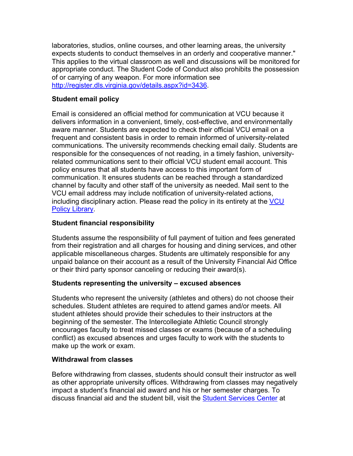laboratories, studios, online courses, and other learning areas, the university expects students to conduct themselves in an orderly and cooperative manner." This applies to the virtual classroom as well and discussions will be monitored for appropriate conduct. The Student Code of Conduct also prohibits the possession of or carrying of any weapon. For more information see http://register.dls.virginia.gov/details.aspx?id=3436.

## **Student email policy**

Email is considered an official method for communication at VCU because it delivers information in a convenient, timely, cost-effective, and environmentally aware manner. Students are expected to check their official VCU email on a frequent and consistent basis in order to remain informed of university-related communications. The university recommends checking email daily. Students are responsible for the consequences of not reading, in a timely fashion, universityrelated communications sent to their official VCU student email account. This policy ensures that all students have access to this important form of communication. It ensures students can be reached through a standardized channel by faculty and other staff of the university as needed. Mail sent to the VCU email address may include notification of university-related actions, including disciplinary action. Please read the policy in its entirety at the VCU Policy Library.

## **Student financial responsibility**

Students assume the responsibility of full payment of tuition and fees generated from their registration and all charges for housing and dining services, and other applicable miscellaneous charges. Students are ultimately responsible for any unpaid balance on their account as a result of the University Financial Aid Office or their third party sponsor canceling or reducing their award(s).

#### **Students representing the university – excused absences**

Students who represent the university (athletes and others) do not choose their schedules. Student athletes are required to attend games and/or meets. All student athletes should provide their schedules to their instructors at the beginning of the semester. The Intercollegiate Athletic Council strongly encourages faculty to treat missed classes or exams (because of a scheduling conflict) as excused absences and urges faculty to work with the students to make up the work or exam.

#### **Withdrawal from classes**

Before withdrawing from classes, students should consult their instructor as well as other appropriate university offices. Withdrawing from classes may negatively impact a student's financial aid award and his or her semester charges. To discuss financial aid and the student bill, visit the Student Services Center at